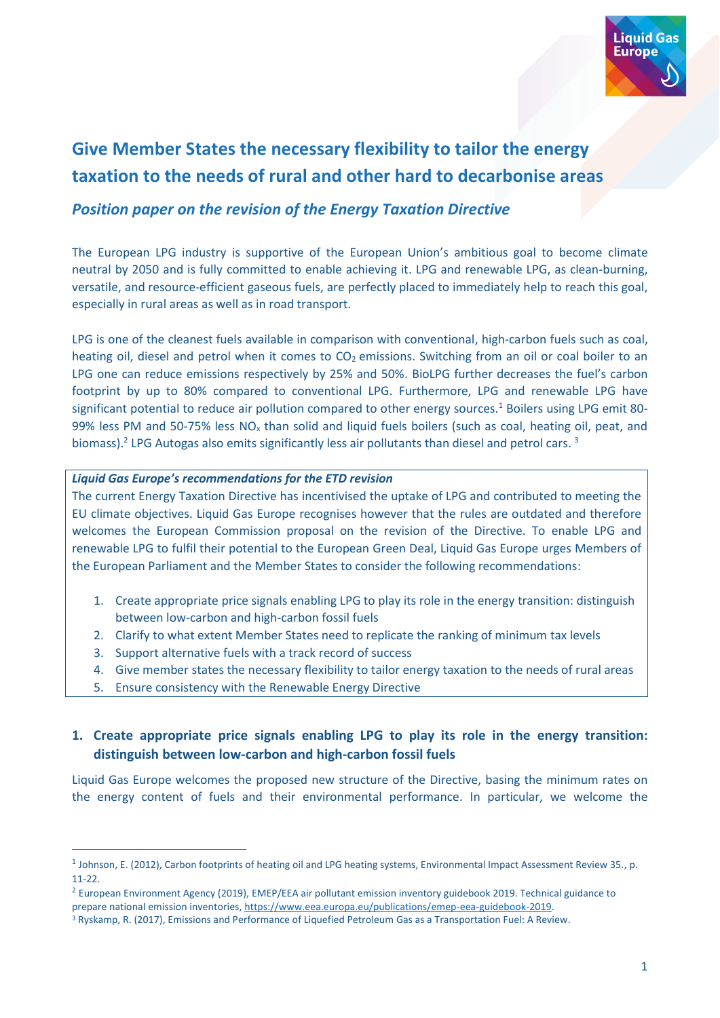

# **Give Member States the necessary flexibility to tailor the energy taxation to the needs of rural and other hard to decarbonise areas**

## *Position paper on the revision of the Energy Taxation Directive*

The European LPG industry is supportive of the European Union's ambitious goal to become climate neutral by 2050 and is fully committed to enable achieving it. LPG and renewable LPG, as clean-burning, versatile, and resource-efficient gaseous fuels, are perfectly placed to immediately help to reach this goal, especially in rural areas as well as in road transport.

LPG is one of the cleanest fuels available in comparison with conventional, high-carbon fuels such as coal, heating oil, diesel and petrol when it comes to  $CO<sub>2</sub>$  emissions. Switching from an oil or coal boiler to an LPG one can reduce emissions respectively by 25% and 50%. BioLPG further decreases the fuel's carbon footprint by up to 80% compared to conventional LPG. Furthermore, LPG and renewable LPG have significant potential to reduce air pollution compared to other energy sources.<sup>1</sup> Boilers using LPG emit 80-99% less PM and 50-75% less  $NO<sub>x</sub>$  than solid and liquid fuels boilers (such as coal, heating oil, peat, and biomass).<sup>2</sup> LPG Autogas also emits significantly less air pollutants than diesel and petrol cars.<sup>3</sup>

#### *Liquid Gas Europe's recommendations for the ETD revision*

The current Energy Taxation Directive has incentivised the uptake of LPG and contributed to meeting the EU climate objectives. Liquid Gas Europe recognises however that the rules are outdated and therefore welcomes the European Commission proposal on the revision of the Directive. To enable LPG and renewable LPG to fulfil their potential to the European Green Deal, Liquid Gas Europe urges Members of the European Parliament and the Member States to consider the following recommendations:

- 1. Create appropriate price signals enabling LPG to play its role in the energy transition: distinguish between low-carbon and high-carbon fossil fuels
- 2. Clarify to what extent Member States need to replicate the ranking of minimum tax levels
- 3. Support alternative fuels with a track record of success
- 4. Give member states the necessary flexibility to tailor energy taxation to the needs of rural areas
- 5. Ensure consistency with the Renewable Energy Directive

## **1. Create appropriate price signals enabling LPG to play its role in the energy transition: distinguish between low-carbon and high-carbon fossil fuels**

Liquid Gas Europe welcomes the proposed new structure of the Directive, basing the minimum rates on the energy content of fuels and their environmental performance. In particular, we welcome the

<sup>&</sup>lt;sup>1</sup> Johnson, E. (2012), Carbon footprints of heating oil and LPG heating systems, Environmental Impact Assessment Review 35., p. 11-22.

<sup>&</sup>lt;sup>2</sup> European Environment Agency (2019), EMEP/EEA air pollutant emission inventory guidebook 2019. Technical guidance to prepare national emission inventories[, https://www.eea.europa.eu/publications/emep-eea-guidebook-2019.](https://www.eea.europa.eu/publications/emep-eea-guidebook-2019)

<sup>&</sup>lt;sup>3</sup> Ryskamp, R. (2017), Emissions and Performance of Liquefied Petroleum Gas as a Transportation Fuel: A Review.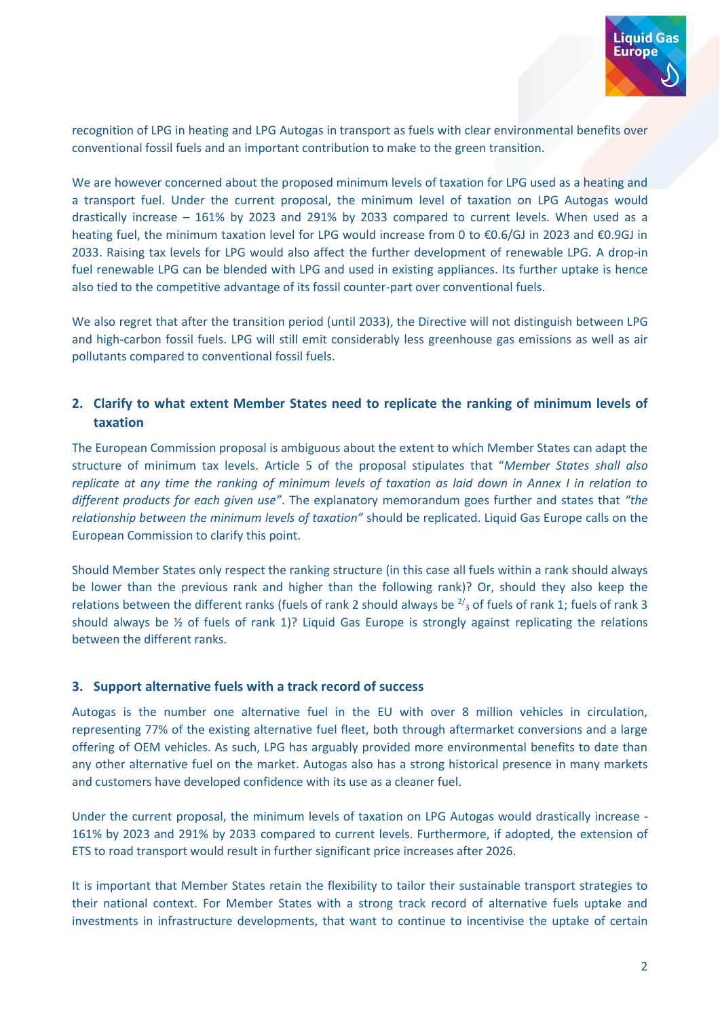

recognition of LPG in heating and LPG Autogas in transport as fuels with clear environmental benefits over conventional fossil fuels and an important contribution to make to the green transition.

We are however concerned about the proposed minimum levels of taxation for LPG used as a heating and a transport fuel. Under the current proposal, the minimum level of taxation on LPG Autogas would drastically increase – 161% by 2023 and 291% by 2033 compared to current levels. When used as a heating fuel, the minimum taxation level for LPG would increase from 0 to €0.6/GJ in 2023 and €0.9GJ in 2033. Raising tax levels for LPG would also affect the further development of renewable LPG. A drop-in fuel renewable LPG can be blended with LPG and used in existing appliances. Its further uptake is hence also tied to the competitive advantage of its fossil counter-part over conventional fuels.

We also regret that after the transition period (until 2033), the Directive will not distinguish between LPG and high-carbon fossil fuels. LPG will still emit considerably less greenhouse gas emissions as well as air pollutants compared to conventional fossil fuels.

#### **2. Clarify to what extent Member States need to replicate the ranking of minimum levels of taxation**

The European Commission proposal is ambiguous about the extent to which Member States can adapt the structure of minimum tax levels. Article 5 of the proposal stipulates that "*Member States shall also replicate at any time the ranking of minimum levels of taxation as laid down in Annex I in relation to different products for each given use"*. The explanatory memorandum goes further and states that *"the relationship between the minimum levels of taxation"* should be replicated. Liquid Gas Europe calls on the European Commission to clarify this point.

Should Member States only respect the ranking structure (in this case all fuels within a rank should always be lower than the previous rank and higher than the following rank)? Or, should they also keep the relations between the different ranks (fuels of rank 2 should always be  $\frac{2}{3}$  of fuels of rank 1; fuels of rank 3 should always be  $\frac{1}{2}$  of fuels of rank 1)? Liquid Gas Europe is strongly against replicating the relations between the different ranks.

#### **3. Support alternative fuels with a track record of success**

Autogas is the number one alternative fuel in the EU with over 8 million vehicles in circulation, representing 77% of the existing alternative fuel fleet, both through aftermarket conversions and a large offering of OEM vehicles. As such, LPG has arguably provided more environmental benefits to date than any other alternative fuel on the market. Autogas also has a strong historical presence in many markets and customers have developed confidence with its use as a cleaner fuel.

Under the current proposal, the minimum levels of taxation on LPG Autogas would drastically increase - 161% by 2023 and 291% by 2033 compared to current levels. Furthermore, if adopted, the extension of ETS to road transport would result in further significant price increases after 2026.

It is important that Member States retain the flexibility to tailor their sustainable transport strategies to their national context. For Member States with a strong track record of alternative fuels uptake and investments in infrastructure developments, that want to continue to incentivise the uptake of certain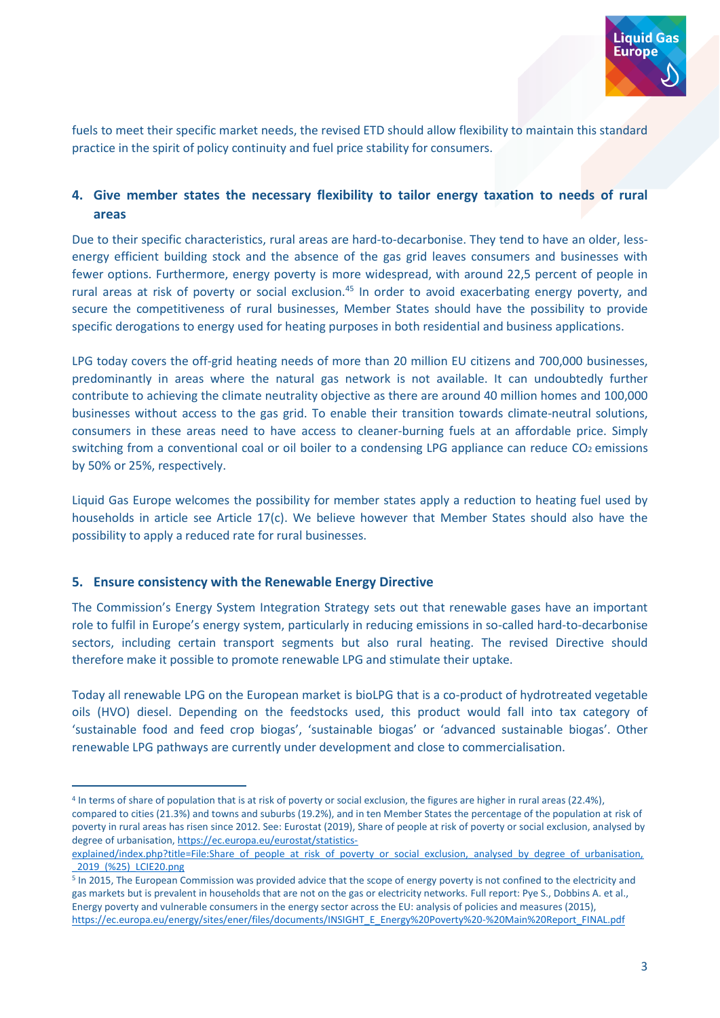

fuels to meet their specific market needs, the revised ETD should allow flexibility to maintain this standard practice in the spirit of policy continuity and fuel price stability for consumers.

### **4. Give member states the necessary flexibility to tailor energy taxation to needs of rural areas**

Due to their specific characteristics, rural areas are hard-to-decarbonise. They tend to have an older, lessenergy efficient building stock and the absence of the gas grid leaves consumers and businesses with fewer options. Furthermore, energy poverty is more widespread, with around 22,5 percent of people in rural areas at risk of poverty or social exclusion.<sup>45</sup> In order to avoid exacerbating energy poverty, and secure the competitiveness of rural businesses, Member States should have the possibility to provide specific derogations to energy used for heating purposes in both residential and business applications.

LPG today covers the off-grid heating needs of more than 20 million EU citizens and 700,000 businesses, predominantly in areas where the natural gas network is not available. It can undoubtedly further contribute to achieving the climate neutrality objective as there are around 40 million homes and 100,000 businesses without access to the gas grid. To enable their transition towards climate-neutral solutions, consumers in these areas need to have access to cleaner-burning fuels at an affordable price. Simply switching from a conventional coal or oil boiler to a condensing LPG appliance can reduce CO2 emissions by 50% or 25%, respectively.

Liquid Gas Europe welcomes the possibility for member states apply a reduction to heating fuel used by households in article see Article 17(c). We believe however that Member States should also have the possibility to apply a reduced rate for rural businesses.

#### **5. Ensure consistency with the Renewable Energy Directive**

The Commission's Energy System Integration Strategy sets out that renewable gases have an important role to fulfil in Europe's energy system, particularly in reducing emissions in so-called hard-to-decarbonise sectors, including certain transport segments but also rural heating. The revised Directive should therefore make it possible to promote renewable LPG and stimulate their uptake.

Today all renewable LPG on the European market is bioLPG that is a co-product of hydrotreated vegetable oils (HVO) diesel. Depending on the feedstocks used, this product would fall into tax category of 'sustainable food and feed crop biogas', 'sustainable biogas' or 'advanced sustainable biogas'. Other renewable LPG pathways are currently under development and close to commercialisation.

<sup>4</sup> In terms of share of population that is at risk of poverty or social exclusion, the figures are higher in rural areas (22.4%), compared to cities (21.3%) and towns and suburbs (19.2%), and in ten Member States the percentage of the population at risk of poverty in rural areas has risen since 2012. See: Eurostat (2019), Share of people at risk of poverty or social exclusion, analysed by degree of urbanisation, [https://ec.europa.eu/eurostat/statistics-](https://ec.europa.eu/eurostat/statistics-explained/index.php?title=File:Share_of_people_at_risk_of_poverty_or_social_exclusion,_analysed_by_degree_of_urbanisation,_2019_(%25)_LCIE20.png)

[explained/index.php?title=File:Share\\_of\\_people\\_at\\_risk\\_of\\_poverty\\_or\\_social\\_exclusion,\\_analysed\\_by\\_degree\\_of\\_urbanisation,](https://ec.europa.eu/eurostat/statistics-explained/index.php?title=File:Share_of_people_at_risk_of_poverty_or_social_exclusion,_analysed_by_degree_of_urbanisation,_2019_(%25)_LCIE20.png) [\\_2019\\_\(%25\)\\_LCIE20.png](https://ec.europa.eu/eurostat/statistics-explained/index.php?title=File:Share_of_people_at_risk_of_poverty_or_social_exclusion,_analysed_by_degree_of_urbanisation,_2019_(%25)_LCIE20.png)

<sup>&</sup>lt;sup>5</sup> In 2015, The European Commission was provided advice that the scope of energy poverty is not confined to the electricity and gas markets but is prevalent in households that are not on the gas or electricity networks. Full report: Pye S., Dobbins A. et al., Energy poverty and vulnerable consumers in the energy sector across the EU: analysis of policies and measures (2015), [https://ec.europa.eu/energy/sites/ener/files/documents/INSIGHT\\_E\\_Energy%20Poverty%20-%20Main%20Report\\_FINAL.pdf](https://ec.europa.eu/energy/sites/ener/files/documents/INSIGHT_E_Energy%20Poverty%20-%20Main%20Report_FINAL.pdf)